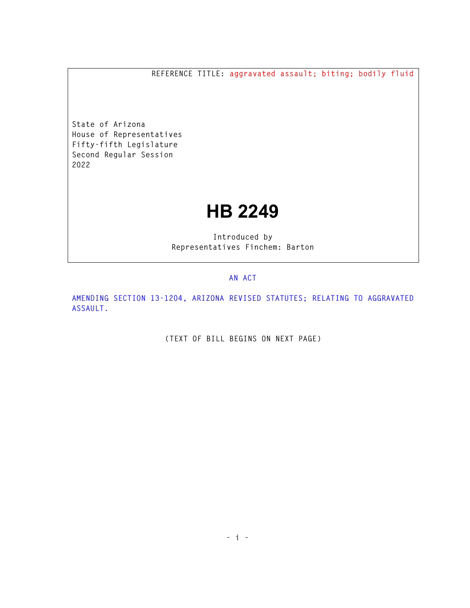**REFERENCE TITLE: aggravated assault; biting; bodily fluid** 

**State of Arizona House of Representatives Fifty-fifth Legislature Second Regular Session 2022** 

## **HB 2249**

**Introduced by Representatives Finchem: Barton** 

## **AN ACT**

**AMENDING SECTION 13-1204, ARIZONA REVISED STATUTES; RELATING TO AGGRAVATED ASSAULT.** 

**(TEXT OF BILL BEGINS ON NEXT PAGE)**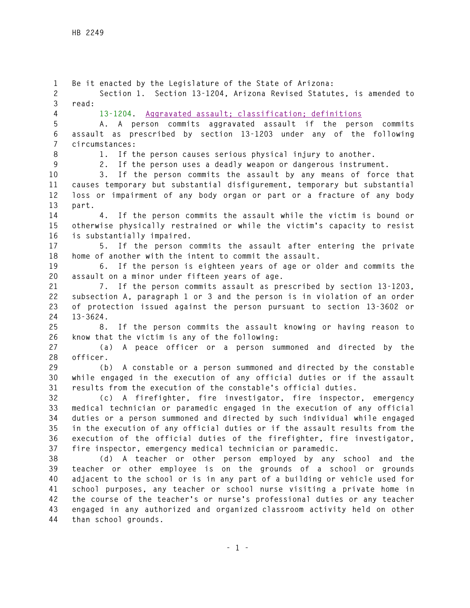**1 Be it enacted by the Legislature of the State of Arizona: 2 Section 1. Section 13-1204, Arizona Revised Statutes, is amended to 3 read: 4 13-1204. Aggravated assault; classification; definitions 5 A. A person commits aggravated assault if the person commits 6 assault as prescribed by section 13-1203 under any of the following 7 circumstances: 8 1. If the person causes serious physical injury to another. 9 2. If the person uses a deadly weapon or dangerous instrument. 10 3. If the person commits the assault by any means of force that 11 causes temporary but substantial disfigurement, temporary but substantial 12 loss or impairment of any body organ or part or a fracture of any body 13 part. 14 4. If the person commits the assault while the victim is bound or 15 otherwise physically restrained or while the victim's capacity to resist 16 is substantially impaired. 17 5. If the person commits the assault after entering the private 18 home of another with the intent to commit the assault. 19 6. If the person is eighteen years of age or older and commits the 20 assault on a minor under fifteen years of age. 21 7. If the person commits assault as prescribed by section 13-1203, 22 subsection A, paragraph 1 or 3 and the person is in violation of an order 23 of protection issued against the person pursuant to section 13-3602 or 24 13-3624. 25 8. If the person commits the assault knowing or having reason to 26 know that the victim is any of the following: 27 (a) A peace officer or a person summoned and directed by the 28 officer. 29 (b) A constable or a person summoned and directed by the constable 30 while engaged in the execution of any official duties or if the assault 31 results from the execution of the constable's official duties. 32 (c) A firefighter, fire investigator, fire inspector, emergency 33 medical technician or paramedic engaged in the execution of any official 34 duties or a person summoned and directed by such individual while engaged 35 in the execution of any official duties or if the assault results from the 36 execution of the official duties of the firefighter, fire investigator, 37 fire inspector, emergency medical technician or paramedic. 38 (d) A teacher or other person employed by any school and the 39 teacher or other employee is on the grounds of a school or grounds 40 adjacent to the school or is in any part of a building or vehicle used for 41 school purposes, any teacher or school nurse visiting a private home in 42 the course of the teacher's or nurse's professional duties or any teacher 43 engaged in any authorized and organized classroom activity held on other 44 than school grounds.**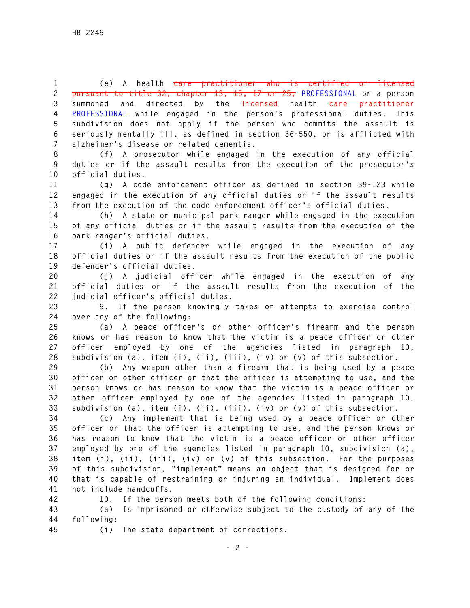**1 (e) A health care practitioner who is certified or licensed 2 pursuant to title 32, chapter 13, 15, 17 or 25, PROFESSIONAL or a person**  3 summoned and directed by the **licensed** health care practitioner **4 PROFESSIONAL while engaged in the person's professional duties. This 5 subdivision does not apply if the person who commits the assault is 6 seriously mentally ill, as defined in section 36-550, or is afflicted with 7 alzheimer's disease or related dementia.** 

**8 (f) A prosecutor while engaged in the execution of any official 9 duties or if the assault results from the execution of the prosecutor's 10 official duties.** 

**11 (g) A code enforcement officer as defined in section 39-123 while 12 engaged in the execution of any official duties or if the assault results 13 from the execution of the code enforcement officer's official duties.** 

**14 (h) A state or municipal park ranger while engaged in the execution 15 of any official duties or if the assault results from the execution of the 16 park ranger's official duties.** 

**17 (i) A public defender while engaged in the execution of any 18 official duties or if the assault results from the execution of the public 19 defender's official duties.** 

**20 (j) A judicial officer while engaged in the execution of any 21 official duties or if the assault results from the execution of the 22 judicial officer's official duties.** 

**23 9. If the person knowingly takes or attempts to exercise control 24 over any of the following:** 

**25 (a) A peace officer's or other officer's firearm and the person 26 knows or has reason to know that the victim is a peace officer or other 27 officer employed by one of the agencies listed in paragraph 10, 28 subdivision (a), item (i), (ii), (iii), (iv) or (v) of this subsection.** 

**29 (b) Any weapon other than a firearm that is being used by a peace 30 officer or other officer or that the officer is attempting to use, and the 31 person knows or has reason to know that the victim is a peace officer or 32 other officer employed by one of the agencies listed in paragraph 10, 33 subdivision (a), item (i), (ii), (iii), (iv) or (v) of this subsection.** 

**34 (c) Any implement that is being used by a peace officer or other 35 officer or that the officer is attempting to use, and the person knows or 36 has reason to know that the victim is a peace officer or other officer 37 employed by one of the agencies listed in paragraph 10, subdivision (a), 38 item (i), (ii), (iii), (iv) or (v) of this subsection. For the purposes 39 of this subdivision, "implement" means an object that is designed for or 40 that is capable of restraining or injuring an individual. Implement does 41 not include handcuffs.** 

**42 10. If the person meets both of the following conditions:** 

**43 (a) Is imprisoned or otherwise subject to the custody of any of the 44 following:** 

**45 (i) The state department of corrections.**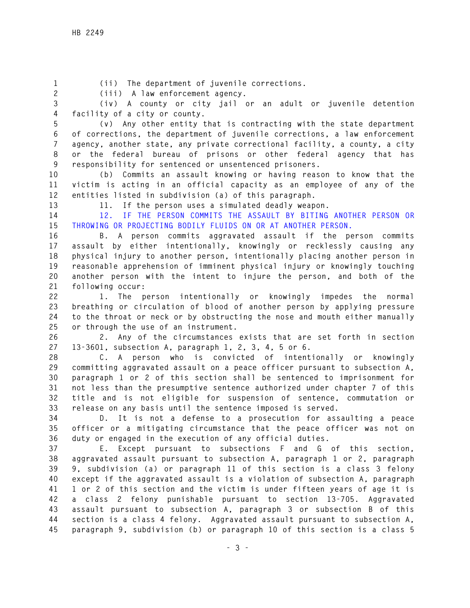**1 (ii) The department of juvenile corrections.** 

**2 (iii) A law enforcement agency.** 

**3 (iv) A county or city jail or an adult or juvenile detention 4 facility of a city or county.** 

**5 (v) Any other entity that is contracting with the state department 6 of corrections, the department of juvenile corrections, a law enforcement 7 agency, another state, any private correctional facility, a county, a city 8 or the federal bureau of prisons or other federal agency that has 9 responsibility for sentenced or unsentenced prisoners.** 

**10 (b) Commits an assault knowing or having reason to know that the 11 victim is acting in an official capacity as an employee of any of the 12 entities listed in subdivision (a) of this paragraph.** 

**13 11. If the person uses a simulated deadly weapon.** 

**14 12. IF THE PERSON COMMITS THE ASSAULT BY BITING ANOTHER PERSON OR 15 THROWING OR PROJECTING BODILY FLUIDS ON OR AT ANOTHER PERSON.** 

**16 B. A person commits aggravated assault if the person commits 17 assault by either intentionally, knowingly or recklessly causing any 18 physical injury to another person, intentionally placing another person in 19 reasonable apprehension of imminent physical injury or knowingly touching 20 another person with the intent to injure the person, and both of the 21 following occur:** 

**22 1. The person intentionally or knowingly impedes the normal 23 breathing or circulation of blood of another person by applying pressure 24 to the throat or neck or by obstructing the nose and mouth either manually 25 or through the use of an instrument.** 

**26 2. Any of the circumstances exists that are set forth in section 27 13-3601, subsection A, paragraph 1, 2, 3, 4, 5 or 6.** 

**28 C. A person who is convicted of intentionally or knowingly 29 committing aggravated assault on a peace officer pursuant to subsection A, 30 paragraph 1 or 2 of this section shall be sentenced to imprisonment for 31 not less than the presumptive sentence authorized under chapter 7 of this 32 title and is not eligible for suspension of sentence, commutation or 33 release on any basis until the sentence imposed is served.** 

**34 D. It is not a defense to a prosecution for assaulting a peace 35 officer or a mitigating circumstance that the peace officer was not on 36 duty or engaged in the execution of any official duties.** 

**37 E. Except pursuant to subsections F and G of this section, 38 aggravated assault pursuant to subsection A, paragraph 1 or 2, paragraph 39 9, subdivision (a) or paragraph 11 of this section is a class 3 felony 40 except if the aggravated assault is a violation of subsection A, paragraph 41 1 or 2 of this section and the victim is under fifteen years of age it is 42 a class 2 felony punishable pursuant to section 13-705. Aggravated 43 assault pursuant to subsection A, paragraph 3 or subsection B of this 44 section is a class 4 felony. Aggravated assault pursuant to subsection A, 45 paragraph 9, subdivision (b) or paragraph 10 of this section is a class 5**